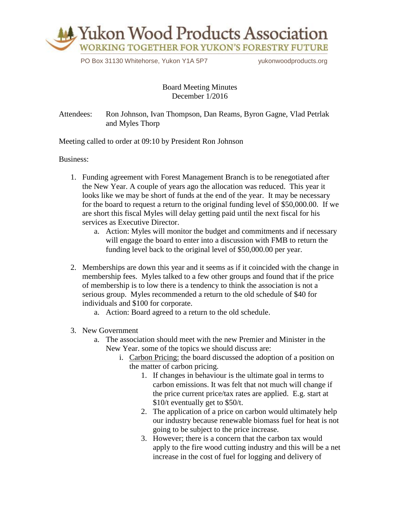

PO Box 31130 Whitehorse, Yukon Y1A 5P7 vukonwoodproducts.org

Board Meeting Minutes December 1/2016

Attendees: Ron Johnson, Ivan Thompson, Dan Reams, Byron Gagne, Vlad Petrlak and Myles Thorp

Meeting called to order at 09:10 by President Ron Johnson

Business:

- 1. Funding agreement with Forest Management Branch is to be renegotiated after the New Year. A couple of years ago the allocation was reduced. This year it looks like we may be short of funds at the end of the year. It may be necessary for the board to request a return to the original funding level of \$50,000.00. If we are short this fiscal Myles will delay getting paid until the next fiscal for his services as Executive Director.
	- a. Action: Myles will monitor the budget and commitments and if necessary will engage the board to enter into a discussion with FMB to return the funding level back to the original level of \$50,000.00 per year.
- 2. Memberships are down this year and it seems as if it coincided with the change in membership fees. Myles talked to a few other groups and found that if the price of membership is to low there is a tendency to think the association is not a serious group. Myles recommended a return to the old schedule of \$40 for individuals and \$100 for corporate.
	- a. Action: Board agreed to a return to the old schedule.
- 3. New Government
	- a. The association should meet with the new Premier and Minister in the New Year. some of the topics we should discuss are:
		- i. Carbon Pricing: the board discussed the adoption of a position on the matter of carbon pricing.
			- 1. If changes in behaviour is the ultimate goal in terms to carbon emissions. It was felt that not much will change if the price current price/tax rates are applied. E.g. start at \$10/t eventually get to \$50/t.
			- 2. The application of a price on carbon would ultimately help our industry because renewable biomass fuel for heat is not going to be subject to the price increase.
			- 3. However; there is a concern that the carbon tax would apply to the fire wood cutting industry and this will be a net increase in the cost of fuel for logging and delivery of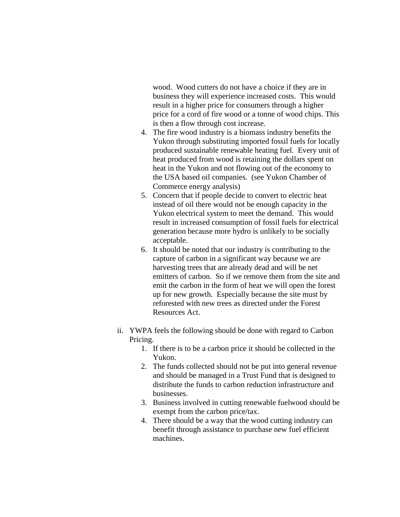wood. Wood cutters do not have a choice if they are in business they will experience increased costs. This would result in a higher price for consumers through a higher price for a cord of fire wood or a tonne of wood chips. This is then a flow through cost increase.

- 4. The fire wood industry is a biomass industry benefits the Yukon through substituting imported fossil fuels for locally produced sustainable renewable heating fuel. Every unit of heat produced from wood is retaining the dollars spent on heat in the Yukon and not flowing out of the economy to the USA based oil companies. (see Yukon Chamber of Commerce energy analysis)
- 5. Concern that if people decide to convert to electric heat instead of oil there would not be enough capacity in the Yukon electrical system to meet the demand. This would result in increased consumption of fossil fuels for electrical generation because more hydro is unlikely to be socially acceptable.
- 6. It should be noted that our industry is contributing to the capture of carbon in a significant way because we are harvesting trees that are already dead and will be net emitters of carbon. So if we remove them from the site and emit the carbon in the form of heat we will open the forest up for new growth. Especially because the site must by reforested with new trees as directed under the Forest Resources Act.
- ii. YWPA feels the following should be done with regard to Carbon Pricing.
	- 1. If there is to be a carbon price it should be collected in the Yukon.
	- 2. The funds collected should not be put into general revenue and should be managed in a Trust Fund that is designed to distribute the funds to carbon reduction infrastructure and businesses.
	- 3. Business involved in cutting renewable fuelwood should be exempt from the carbon price/tax.
	- 4. There should be a way that the wood cutting industry can benefit through assistance to purchase new fuel efficient machines.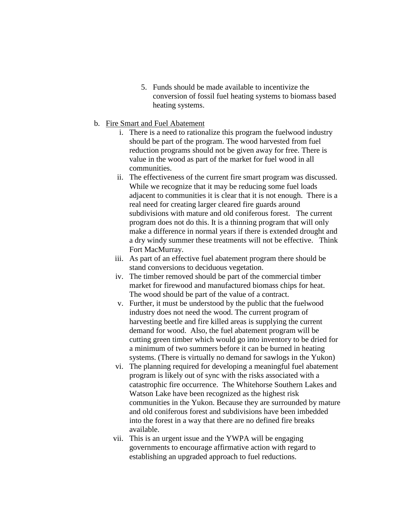- 5. Funds should be made available to incentivize the conversion of fossil fuel heating systems to biomass based heating systems.
- b. Fire Smart and Fuel Abatement
	- i. There is a need to rationalize this program the fuelwood industry should be part of the program. The wood harvested from fuel reduction programs should not be given away for free. There is value in the wood as part of the market for fuel wood in all communities.
	- ii. The effectiveness of the current fire smart program was discussed. While we recognize that it may be reducing some fuel loads adjacent to communities it is clear that it is not enough. There is a real need for creating larger cleared fire guards around subdivisions with mature and old coniferous forest. The current program does not do this. It is a thinning program that will only make a difference in normal years if there is extended drought and a dry windy summer these treatments will not be effective. Think Fort MacMurray.
	- iii. As part of an effective fuel abatement program there should be stand conversions to deciduous vegetation.
	- iv. The timber removed should be part of the commercial timber market for firewood and manufactured biomass chips for heat. The wood should be part of the value of a contract.
	- v. Further, it must be understood by the public that the fuelwood industry does not need the wood. The current program of harvesting beetle and fire killed areas is supplying the current demand for wood. Also, the fuel abatement program will be cutting green timber which would go into inventory to be dried for a minimum of two summers before it can be burned in heating systems. (There is virtually no demand for sawlogs in the Yukon)
	- vi. The planning required for developing a meaningful fuel abatement program is likely out of sync with the risks associated with a catastrophic fire occurrence. The Whitehorse Southern Lakes and Watson Lake have been recognized as the highest risk communities in the Yukon. Because they are surrounded by mature and old coniferous forest and subdivisions have been imbedded into the forest in a way that there are no defined fire breaks available.
	- vii. This is an urgent issue and the YWPA will be engaging governments to encourage affirmative action with regard to establishing an upgraded approach to fuel reductions.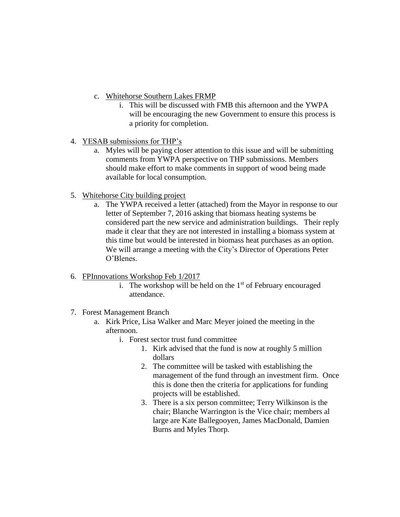- c. Whitehorse Southern Lakes FRMP
	- i. This will be discussed with FMB this afternoon and the YWPA will be encouraging the new Government to ensure this process is a priority for completion.
- 4. YESAB submissions for THP's
	- a. Myles will be paying closer attention to this issue and will be submitting comments from YWPA perspective on THP submissions. Members should make effort to make comments in support of wood being made available for local consumption.
- 5. Whitehorse City building project
	- a. The YWPA received a letter (attached) from the Mayor in response to our letter of September 7, 2016 asking that biomass heating systems be considered part the new service and administration buildings. Their reply made it clear that they are not interested in installing a biomass system at this time but would be interested in biomass heat purchases as an option. We will arrange a meeting with the City's Director of Operations Peter O'Blenes.
- 6. FPInnovations Workshop Feb 1/2017
	- i. The workshop will be held on the  $1<sup>st</sup>$  of February encouraged attendance.
- 7. Forest Management Branch
	- a. Kirk Price, Lisa Walker and Marc Meyer joined the meeting in the afternoon.
		- i. Forest sector trust fund committee
			- 1. Kirk advised that the fund is now at roughly 5 million dollars
			- 2. The committee will be tasked with establishing the management of the fund through an investment firm. Once this is done then the criteria for applications for funding projects will be established.
			- 3. There is a six person committee; Terry Wilkinson is the chair; Blanche Warrington is the Vice chair; members al large are Kate Ballegooyen, James MacDonald, Damien Burns and Myles Thorp.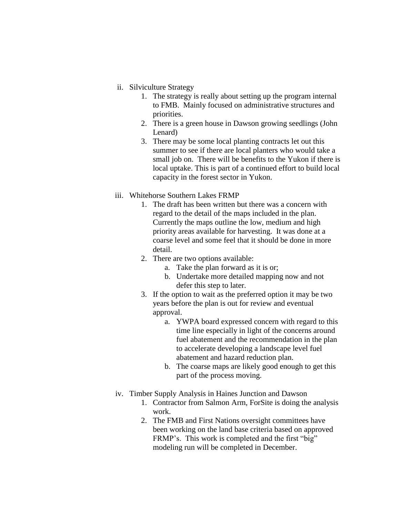- ii. Silviculture Strategy
	- 1. The strategy is really about setting up the program internal to FMB. Mainly focused on administrative structures and priorities.
	- 2. There is a green house in Dawson growing seedlings (John Lenard)
	- 3. There may be some local planting contracts let out this summer to see if there are local planters who would take a small job on. There will be benefits to the Yukon if there is local uptake. This is part of a continued effort to build local capacity in the forest sector in Yukon.
- iii. Whitehorse Southern Lakes FRMP
	- 1. The draft has been written but there was a concern with regard to the detail of the maps included in the plan. Currently the maps outline the low, medium and high priority areas available for harvesting. It was done at a coarse level and some feel that it should be done in more detail.
	- 2. There are two options available:
		- a. Take the plan forward as it is or;
		- b. Undertake more detailed mapping now and not defer this step to later.
	- 3. If the option to wait as the preferred option it may be two years before the plan is out for review and eventual approval.
		- a. YWPA board expressed concern with regard to this time line especially in light of the concerns around fuel abatement and the recommendation in the plan to accelerate developing a landscape level fuel abatement and hazard reduction plan.
		- b. The coarse maps are likely good enough to get this part of the process moving.
- iv. Timber Supply Analysis in Haines Junction and Dawson
	- 1. Contractor from Salmon Arm, ForSite is doing the analysis work.
	- 2. The FMB and First Nations oversight committees have been working on the land base criteria based on approved FRMP's. This work is completed and the first "big" modeling run will be completed in December.